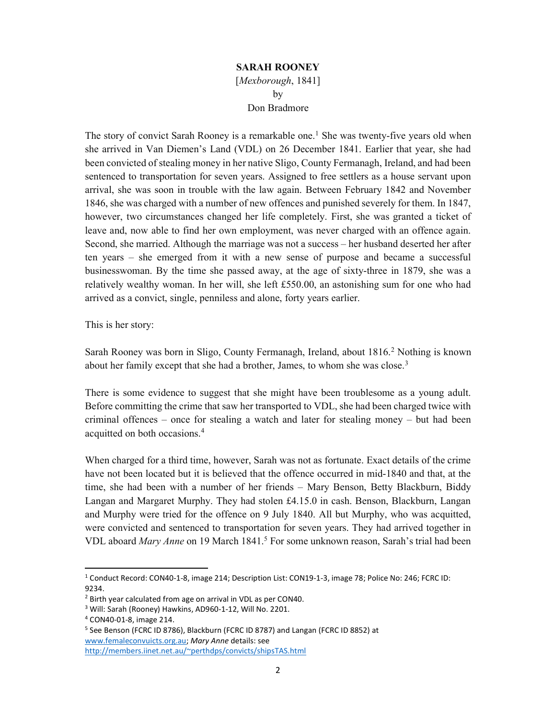## SARAH ROONEY [Mexborough, 1841] by

## Don Bradmore

The story of convict Sarah Rooney is a remarkable one.<sup>1</sup> She was twenty-five years old when she arrived in Van Diemen's Land (VDL) on 26 December 1841. Earlier that year, she had been convicted of stealing money in her native Sligo, County Fermanagh, Ireland, and had been sentenced to transportation for seven years. Assigned to free settlers as a house servant upon arrival, she was soon in trouble with the law again. Between February 1842 and November 1846, she was charged with a number of new offences and punished severely for them. In 1847, however, two circumstances changed her life completely. First, she was granted a ticket of leave and, now able to find her own employment, was never charged with an offence again. Second, she married. Although the marriage was not a success – her husband deserted her after ten years – she emerged from it with a new sense of purpose and became a successful businesswoman. By the time she passed away, at the age of sixty-three in 1879, she was a relatively wealthy woman. In her will, she left £550.00, an astonishing sum for one who had arrived as a convict, single, penniless and alone, forty years earlier.

This is her story:

Sarah Rooney was born in Sligo, County Fermanagh, Ireland, about 1816.<sup>2</sup> Nothing is known about her family except that she had a brother, James, to whom she was close.<sup>3</sup>

There is some evidence to suggest that she might have been troublesome as a young adult. Before committing the crime that saw her transported to VDL, she had been charged twice with criminal offences – once for stealing a watch and later for stealing money – but had been acquitted on both occasions.<sup>4</sup>

When charged for a third time, however, Sarah was not as fortunate. Exact details of the crime have not been located but it is believed that the offence occurred in mid-1840 and that, at the time, she had been with a number of her friends – Mary Benson, Betty Blackburn, Biddy Langan and Margaret Murphy. They had stolen £4.15.0 in cash. Benson, Blackburn, Langan and Murphy were tried for the offence on 9 July 1840. All but Murphy, who was acquitted, were convicted and sentenced to transportation for seven years. They had arrived together in VDL aboard Mary Anne on 19 March 1841.<sup>5</sup> For some unknown reason, Sarah's trial had been

<sup>1</sup> Conduct Record: CON40-1-8, image 214; Description List: CON19-1-3, image 78; Police No: 246; FCRC ID: 9234.

<sup>&</sup>lt;sup>2</sup> Birth year calculated from age on arrival in VDL as per CON40.

<sup>&</sup>lt;sup>3</sup> Will: Sarah (Rooney) Hawkins, AD960-1-12, Will No. 2201.

<sup>4</sup> CON40-01-8, image 214.

<sup>&</sup>lt;sup>5</sup> See Benson (FCRC ID 8786), Blackburn (FCRC ID 8787) and Langan (FCRC ID 8852) at www.femaleconvuicts.org.au; Mary Anne details: see http://members.iinet.net.au/~perthdps/convicts/shipsTAS.html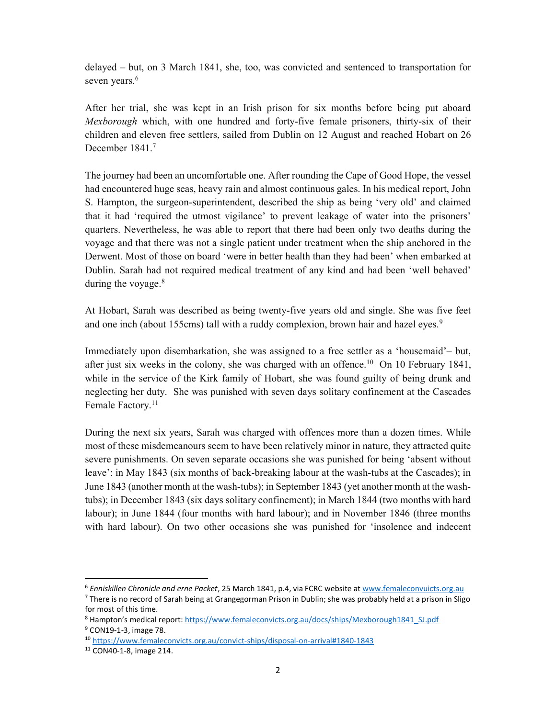delayed – but, on 3 March 1841, she, too, was convicted and sentenced to transportation for seven years.<sup>6</sup>

After her trial, she was kept in an Irish prison for six months before being put aboard Mexborough which, with one hundred and forty-five female prisoners, thirty-six of their children and eleven free settlers, sailed from Dublin on 12 August and reached Hobart on 26 December 1841.<sup>7</sup>

The journey had been an uncomfortable one. After rounding the Cape of Good Hope, the vessel had encountered huge seas, heavy rain and almost continuous gales. In his medical report, John S. Hampton, the surgeon-superintendent, described the ship as being 'very old' and claimed that it had 'required the utmost vigilance' to prevent leakage of water into the prisoners' quarters. Nevertheless, he was able to report that there had been only two deaths during the voyage and that there was not a single patient under treatment when the ship anchored in the Derwent. Most of those on board 'were in better health than they had been' when embarked at Dublin. Sarah had not required medical treatment of any kind and had been 'well behaved' during the voyage.<sup>8</sup>

At Hobart, Sarah was described as being twenty-five years old and single. She was five feet and one inch (about 155cms) tall with a ruddy complexion, brown hair and hazel eyes.<sup>9</sup>

Immediately upon disembarkation, she was assigned to a free settler as a 'housemaid'– but, after just six weeks in the colony, she was charged with an offence.<sup>10</sup> On 10 February 1841, while in the service of the Kirk family of Hobart, she was found guilty of being drunk and neglecting her duty. She was punished with seven days solitary confinement at the Cascades Female Factory.<sup>11</sup>

During the next six years, Sarah was charged with offences more than a dozen times. While most of these misdemeanours seem to have been relatively minor in nature, they attracted quite severe punishments. On seven separate occasions she was punished for being 'absent without leave': in May 1843 (six months of back-breaking labour at the wash-tubs at the Cascades); in June 1843 (another month at the wash-tubs); in September 1843 (yet another month at the washtubs); in December 1843 (six days solitary confinement); in March 1844 (two months with hard labour); in June 1844 (four months with hard labour); and in November 1846 (three months with hard labour). On two other occasions she was punished for 'insolence and indecent

<sup>&</sup>lt;sup>6</sup> Enniskillen Chronicle and erne Packet, 25 March 1841, p.4, via FCRC website at www.femaleconvuicts.org.au

<sup>&</sup>lt;sup>7</sup> There is no record of Sarah being at Grangegorman Prison in Dublin; she was probably held at a prison in Sligo for most of this time.

<sup>&</sup>lt;sup>8</sup> Hampton's medical report: https://www.femaleconvicts.org.au/docs/ships/Mexborough1841\_SJ.pdf <sup>9</sup> CON19-1-3, image 78.

<sup>10</sup> https://www.femaleconvicts.org.au/convict-ships/disposal-on-arrival#1840-1843

<sup>11</sup> CON40-1-8, image 214.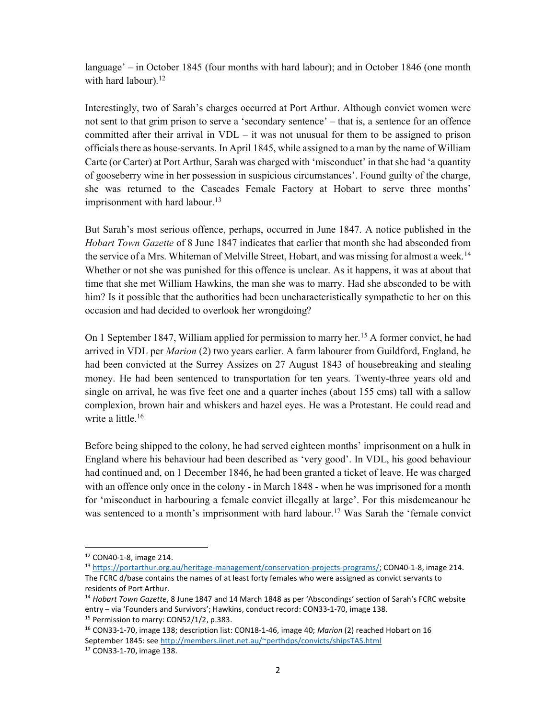language' – in October 1845 (four months with hard labour); and in October 1846 (one month with hard labour).<sup>12</sup>

Interestingly, two of Sarah's charges occurred at Port Arthur. Although convict women were not sent to that grim prison to serve a 'secondary sentence' – that is, a sentence for an offence committed after their arrival in VDL – it was not unusual for them to be assigned to prison officials there as house-servants. In April 1845, while assigned to a man by the name of William Carte (or Carter) at Port Arthur, Sarah was charged with 'misconduct' in that she had 'a quantity of gooseberry wine in her possession in suspicious circumstances'. Found guilty of the charge, she was returned to the Cascades Female Factory at Hobart to serve three months' imprisonment with hard labour.<sup>13</sup>

But Sarah's most serious offence, perhaps, occurred in June 1847. A notice published in the Hobart Town Gazette of 8 June 1847 indicates that earlier that month she had absconded from the service of a Mrs. Whiteman of Melville Street, Hobart, and was missing for almost a week.<sup>14</sup> Whether or not she was punished for this offence is unclear. As it happens, it was at about that time that she met William Hawkins, the man she was to marry. Had she absconded to be with him? Is it possible that the authorities had been uncharacteristically sympathetic to her on this occasion and had decided to overlook her wrongdoing?

On 1 September 1847, William applied for permission to marry her.<sup>15</sup> A former convict, he had arrived in VDL per *Marion* (2) two years earlier. A farm labourer from Guildford, England, he had been convicted at the Surrey Assizes on 27 August 1843 of housebreaking and stealing money. He had been sentenced to transportation for ten years. Twenty-three years old and single on arrival, he was five feet one and a quarter inches (about 155 cms) tall with a sallow complexion, brown hair and whiskers and hazel eyes. He was a Protestant. He could read and write a little.<sup>16</sup>

Before being shipped to the colony, he had served eighteen months' imprisonment on a hulk in England where his behaviour had been described as 'very good'. In VDL, his good behaviour had continued and, on 1 December 1846, he had been granted a ticket of leave. He was charged with an offence only once in the colony - in March 1848 - when he was imprisoned for a month for 'misconduct in harbouring a female convict illegally at large'. For this misdemeanour he was sentenced to a month's imprisonment with hard labour.<sup>17</sup> Was Sarah the 'female convict

<sup>12</sup> CON40-1-8, image 214.

<sup>13</sup> https://portarthur.org.au/heritage-management/conservation-projects-programs/; CON40-1-8, image 214. The FCRC d/base contains the names of at least forty females who were assigned as convict servants to residents of Port Arthur.

<sup>&</sup>lt;sup>14</sup> Hobart Town Gazette, 8 June 1847 and 14 March 1848 as per 'Abscondings' section of Sarah's FCRC website entry – via 'Founders and Survivors'; Hawkins, conduct record: CON33-1-70, image 138.

<sup>&</sup>lt;sup>15</sup> Permission to marry: CON52/1/2, p.383.

<sup>&</sup>lt;sup>16</sup> CON33-1-70, image 138; description list: CON18-1-46, image 40; Marion (2) reached Hobart on 16 September 1845: see http://members.iinet.net.au/~perthdps/convicts/shipsTAS.html

<sup>17</sup> CON33-1-70, image 138.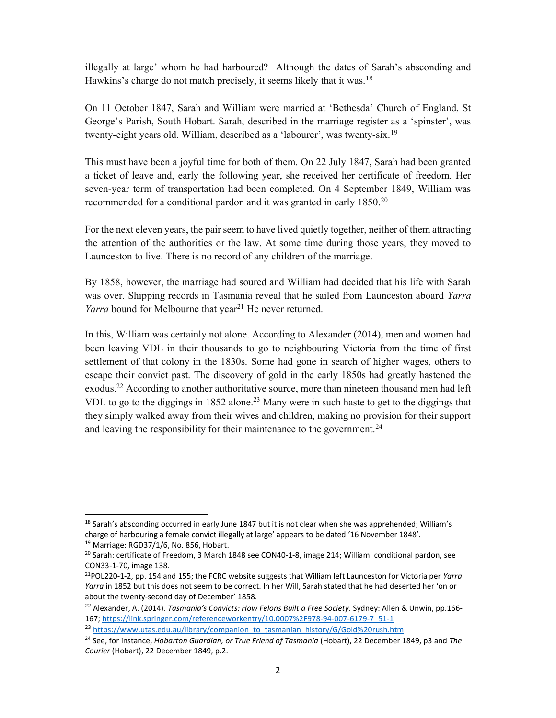illegally at large' whom he had harboured? Although the dates of Sarah's absconding and Hawkins's charge do not match precisely, it seems likely that it was.<sup>18</sup>

On 11 October 1847, Sarah and William were married at 'Bethesda' Church of England, St George's Parish, South Hobart. Sarah, described in the marriage register as a 'spinster', was twenty-eight years old. William, described as a 'labourer', was twenty-six.<sup>19</sup>

This must have been a joyful time for both of them. On 22 July 1847, Sarah had been granted a ticket of leave and, early the following year, she received her certificate of freedom. Her seven-year term of transportation had been completed. On 4 September 1849, William was recommended for a conditional pardon and it was granted in early 1850.<sup>20</sup>

For the next eleven years, the pair seem to have lived quietly together, neither of them attracting the attention of the authorities or the law. At some time during those years, they moved to Launceston to live. There is no record of any children of the marriage.

By 1858, however, the marriage had soured and William had decided that his life with Sarah was over. Shipping records in Tasmania reveal that he sailed from Launceston aboard Yarra Yarra bound for Melbourne that year<sup>21</sup> He never returned.

In this, William was certainly not alone. According to Alexander (2014), men and women had been leaving VDL in their thousands to go to neighbouring Victoria from the time of first settlement of that colony in the 1830s. Some had gone in search of higher wages, others to escape their convict past. The discovery of gold in the early 1850s had greatly hastened the exodus.<sup>22</sup> According to another authoritative source, more than nineteen thousand men had left VDL to go to the diggings in 1852 alone.<sup>23</sup> Many were in such haste to get to the diggings that they simply walked away from their wives and children, making no provision for their support and leaving the responsibility for their maintenance to the government.<sup>24</sup>

<sup>&</sup>lt;sup>18</sup> Sarah's absconding occurred in early June 1847 but it is not clear when she was apprehended; William's charge of harbouring a female convict illegally at large' appears to be dated '16 November 1848'.

<sup>19</sup> Marriage: RGD37/1/6, No. 856, Hobart.

<sup>&</sup>lt;sup>20</sup> Sarah: certificate of Freedom, 3 March 1848 see CON40-1-8, image 214; William: conditional pardon, see CON33-1-70, image 138.

<sup>&</sup>lt;sup>21</sup>POL220-1-2, pp. 154 and 155; the FCRC website suggests that William left Launceston for Victoria per Yarra Yarra in 1852 but this does not seem to be correct. In her Will, Sarah stated that he had deserted her 'on or about the twenty-second day of December' 1858.

<sup>&</sup>lt;sup>22</sup> Alexander, A. (2014). Tasmania's Convicts: How Felons Built a Free Society. Sydney: Allen & Unwin, pp.166-167; https://link.springer.com/referenceworkentry/10.0007%2F978-94-007-6179-7\_51-1

<sup>&</sup>lt;sup>23</sup> https://www.utas.edu.au/library/companion\_to\_tasmanian\_history/G/Gold%20rush.htm

<sup>&</sup>lt;sup>24</sup> See, for instance, Hobarton Guardian, or True Friend of Tasmania (Hobart), 22 December 1849, p3 and The Courier (Hobart), 22 December 1849, p.2.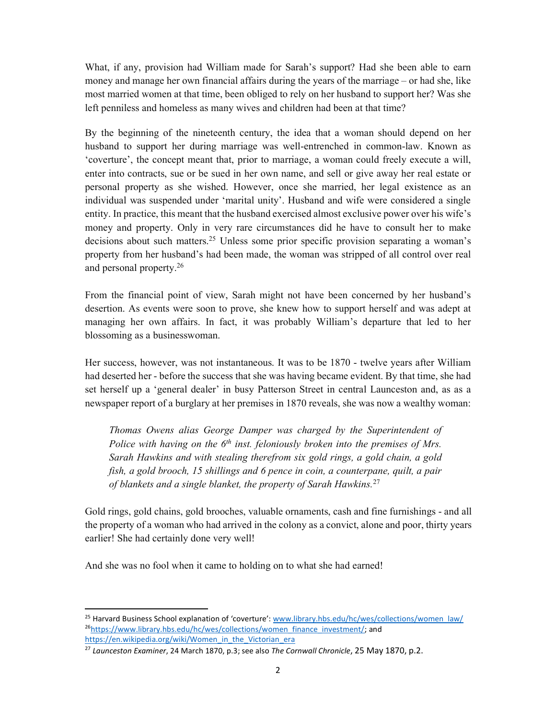What, if any, provision had William made for Sarah's support? Had she been able to earn money and manage her own financial affairs during the years of the marriage – or had she, like most married women at that time, been obliged to rely on her husband to support her? Was she left penniless and homeless as many wives and children had been at that time?

By the beginning of the nineteenth century, the idea that a woman should depend on her husband to support her during marriage was well-entrenched in common-law. Known as 'coverture', the concept meant that, prior to marriage, a woman could freely execute a will, enter into contracts, sue or be sued in her own name, and sell or give away her real estate or personal property as she wished. However, once she married, her legal existence as an individual was suspended under 'marital unity'. Husband and wife were considered a single entity. In practice, this meant that the husband exercised almost exclusive power over his wife's money and property. Only in very rare circumstances did he have to consult her to make decisions about such matters.<sup>25</sup> Unless some prior specific provision separating a woman's property from her husband's had been made, the woman was stripped of all control over real and personal property.<sup>26</sup>

From the financial point of view, Sarah might not have been concerned by her husband's desertion. As events were soon to prove, she knew how to support herself and was adept at managing her own affairs. In fact, it was probably William's departure that led to her blossoming as a businesswoman.

Her success, however, was not instantaneous. It was to be 1870 - twelve years after William had deserted her - before the success that she was having became evident. By that time, she had set herself up a 'general dealer' in busy Patterson Street in central Launceston and, as as a newspaper report of a burglary at her premises in 1870 reveals, she was now a wealthy woman:

Thomas Owens alias George Damper was charged by the Superintendent of Police with having on the  $6<sup>th</sup>$  inst. feloniously broken into the premises of Mrs. Sarah Hawkins and with stealing therefrom six gold rings, a gold chain, a gold fish, a gold brooch, 15 shillings and 6 pence in coin, a counterpane, quilt, a pair of blankets and a single blanket, the property of Sarah Hawkins.<sup>27</sup>

Gold rings, gold chains, gold brooches, valuable ornaments, cash and fine furnishings - and all the property of a woman who had arrived in the colony as a convict, alone and poor, thirty years earlier! She had certainly done very well!

And she was no fool when it came to holding on to what she had earned!

<sup>&</sup>lt;sup>25</sup> Harvard Business School explanation of 'coverture': www.library.hbs.edu/hc/wes/collections/women\_law/ <sup>26</sup>https://www.library.hbs.edu/hc/wes/collections/women\_finance\_investment/; and https://en.wikipedia.org/wiki/Women\_in\_the\_Victorian\_era

 $27$  Launceston Examiner, 24 March 1870, p.3; see also The Cornwall Chronicle, 25 May 1870, p.2.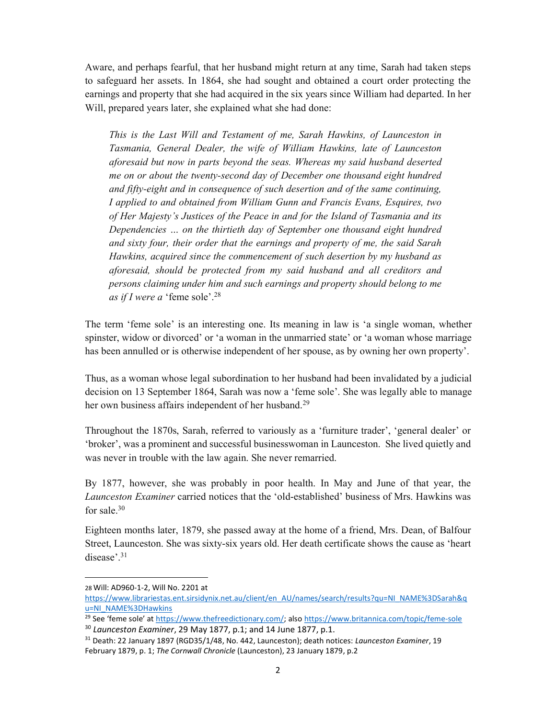Aware, and perhaps fearful, that her husband might return at any time, Sarah had taken steps to safeguard her assets. In 1864, she had sought and obtained a court order protecting the earnings and property that she had acquired in the six years since William had departed. In her Will, prepared years later, she explained what she had done:

This is the Last Will and Testament of me, Sarah Hawkins, of Launceston in Tasmania, General Dealer, the wife of William Hawkins, late of Launceston aforesaid but now in parts beyond the seas. Whereas my said husband deserted me on or about the twenty-second day of December one thousand eight hundred and fifty-eight and in consequence of such desertion and of the same continuing, I applied to and obtained from William Gunn and Francis Evans, Esquires, two of Her Majesty's Justices of the Peace in and for the Island of Tasmania and its Dependencies … on the thirtieth day of September one thousand eight hundred and sixty four, their order that the earnings and property of me, the said Sarah Hawkins, acquired since the commencement of such desertion by my husband as aforesaid, should be protected from my said husband and all creditors and persons claiming under him and such earnings and property should belong to me as if I were a 'feme sole'.<sup>28</sup>

The term 'feme sole' is an interesting one. Its meaning in law is 'a single woman, whether spinster, widow or divorced' or 'a woman in the unmarried state' or 'a woman whose marriage has been annulled or is otherwise independent of her spouse, as by owning her own property'.

Thus, as a woman whose legal subordination to her husband had been invalidated by a judicial decision on 13 September 1864, Sarah was now a 'feme sole'. She was legally able to manage her own business affairs independent of her husband.<sup>29</sup>

Throughout the 1870s, Sarah, referred to variously as a 'furniture trader', 'general dealer' or 'broker', was a prominent and successful businesswoman in Launceston. She lived quietly and was never in trouble with the law again. She never remarried.

By 1877, however, she was probably in poor health. In May and June of that year, the Launceston Examiner carried notices that the 'old-established' business of Mrs. Hawkins was for sale. $30$ 

Eighteen months later, 1879, she passed away at the home of a friend, Mrs. Dean, of Balfour Street, Launceston. She was sixty-six years old. Her death certificate shows the cause as 'heart disease'.<sup>31</sup>

<sup>28</sup> Will: AD960-1-2, Will No. 2201 at

https://www.librariestas.ent.sirsidynix.net.au/client/en\_AU/names/search/results?qu=NI\_NAME%3DSarah&q u=NI\_NAME%3DHawkins

<sup>&</sup>lt;sup>29</sup> See 'feme sole' at https://www.thefreedictionary.com/; also https://www.britannica.com/topic/feme-sole  $30$  Launceston Examiner, 29 May 1877, p.1; and 14 June 1877, p.1.

<sup>&</sup>lt;sup>31</sup> Death: 22 January 1897 (RGD35/1/48, No. 442, Launceston); death notices: Launceston Examiner, 19 February 1879, p. 1; The Cornwall Chronicle (Launceston), 23 January 1879, p.2